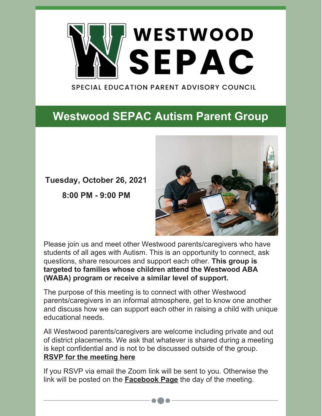

**SPECIAL EDUCATION PARENT ADVISORY COUNCIL** 

## **[Westwood](https://www.westwoodsepac.org/events/autismsupportgroup) SEPAC Autism Parent Group**

**Tuesday, October 26, 2021**

**8:00 PM - 9:00 PM**



Please join us and meet other Westwood parents/caregivers who have students of all ages with Autism. This is an opportunity to connect, ask questions, share resources and support each other. **This group is targeted to families whose children attend the Westwood ABA (WABA) program or receive a similar level of support.**

The purpose of this meeting is to connect with other Westwood parents/caregivers in an informal atmosphere, get to know one another and discuss how we can support each other in raising a child with unique educational needs.

All Westwood parents/caregivers are welcome including private and out of district placements. We ask that whatever is shared during a meeting is kept confidential and is not to be discussed outside of the group. **RSVP for the [meeting](mailto:westwoodsepac@gmail.com) here**

If you RSVP via email the Zoom link will be sent to you. Otherwise the link will be posted on the **[Facebook](https://www.facebook.com/groups/1703393949686415) Page** the day of the meeting.